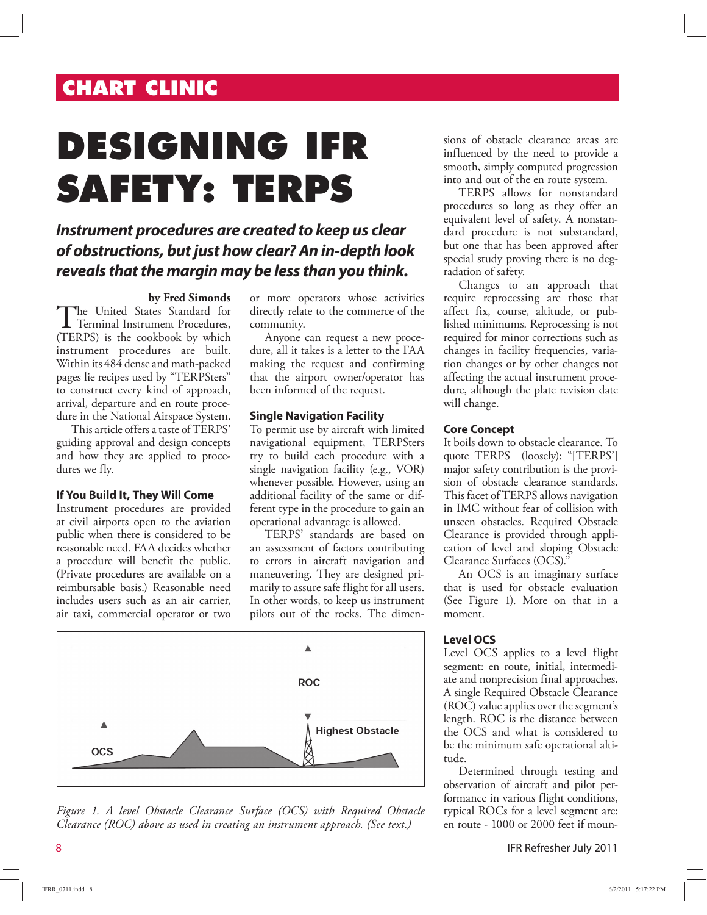# **CHART CLINIC**

# **DESIGNING IFR SAFETY: TERPS**

## **Instrument procedures are created to keep us clear of obstructions, but just how clear? An in-depth look reveals that the margin may be less than you think.**

#### **by Fred Simonds**

The United States Standard for<br>Terminal Instrument Procedures, he United States Standard for (TERPS) is the cookbook by which instrument procedures are built. Within its 484 dense and math-packed pages lie recipes used by "TERPSters" to construct every kind of approach, arrival, departure and en route procedure in the National Airspace System.

This article offers a taste of TERPS' guiding approval and design concepts and how they are applied to procedures we fly.

#### **If You Build It, They Will Come**

Instrument procedures are provided at civil airports open to the aviation public when there is considered to be reasonable need. FAA decides whether a procedure will benefit the public. (Private procedures are available on a reimbursable basis.) Reasonable need includes users such as an air carrier, air taxi, commercial operator or two

or more operators whose activities directly relate to the commerce of the community.

Anyone can request a new procedure, all it takes is a letter to the FAA making the request and confirming that the airport owner/operator has been informed of the request.

#### **Single Navigation Facility**

To permit use by aircraft with limited navigational equipment, TERPSters try to build each procedure with a single navigation facility (e.g., VOR) whenever possible. However, using an additional facility of the same or different type in the procedure to gain an operational advantage is allowed.

TERPS' standards are based on an assessment of factors contributing to errors in aircraft navigation and maneuvering. They are designed primarily to assure safe flight for all users. In other words, to keep us instrument pilots out of the rocks. The dimen-





sions of obstacle clearance areas are influenced by the need to provide a smooth, simply computed progression into and out of the en route system.

TERPS allows for nonstandard procedures so long as they offer an equivalent level of safety. A nonstandard procedure is not substandard, but one that has been approved after special study proving there is no degradation of safety.

Changes to an approach that require reprocessing are those that affect fix, course, altitude, or published minimums. Reprocessing is not required for minor corrections such as changes in facility frequencies, variation changes or by other changes not affecting the actual instrument procedure, although the plate revision date will change.

#### **Core Concept**

It boils down to obstacle clearance. To quote TERPS (loosely): "[TERPS'] major safety contribution is the provision of obstacle clearance standards. This facet of TERPS allows navigation in IMC without fear of collision with unseen obstacles. Required Obstacle Clearance is provided through application of level and sloping Obstacle Clearance Surfaces (OCS)."

An OCS is an imaginary surface that is used for obstacle evaluation (See Figure 1). More on that in a moment.

#### **Level OCS**

Level OCS applies to a level flight segment: en route, initial, intermediate and nonprecision final approaches. A single Required Obstacle Clearance (ROC) value applies over the segment's length. ROC is the distance between the OCS and what is considered to be the minimum safe operational altitude.

Determined through testing and observation of aircraft and pilot performance in various flight conditions, typical ROCs for a level segment are: en route - 1000 or 2000 feet if moun-

8 IFR Refresher July 2011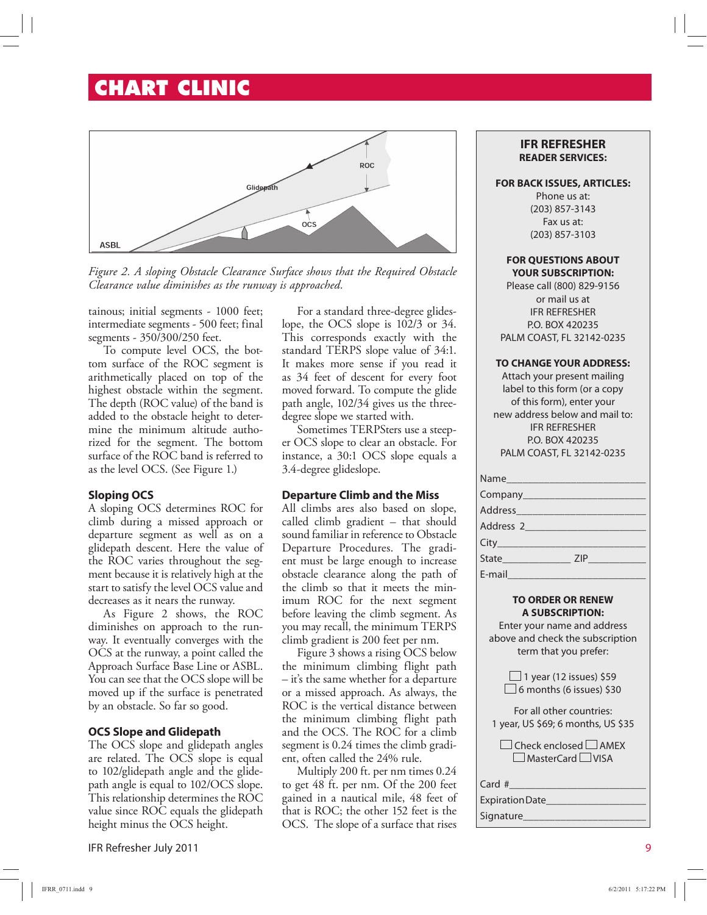# **CHART CLINIC**



*Figure 2. A sloping Obstacle Clearance Surface shows that the Required Obstacle Clearance value diminishes as the runway is approached.* 

tainous; initial segments - 1000 feet; intermediate segments - 500 feet; final segments - 350/300/250 feet.

To compute level OCS, the bottom surface of the ROC segment is arithmetically placed on top of the highest obstacle within the segment. The depth (ROC value) of the band is added to the obstacle height to determine the minimum altitude authorized for the segment. The bottom surface of the ROC band is referred to as the level OCS. (See Figure 1.)

#### **Sloping OCS**

A sloping OCS determines ROC for climb during a missed approach or departure segment as well as on a glidepath descent. Here the value of the ROC varies throughout the segment because it is relatively high at the start to satisfy the level OCS value and decreases as it nears the runway.

As Figure 2 shows, the ROC diminishes on approach to the runway. It eventually converges with the OCS at the runway, a point called the Approach Surface Base Line or ASBL. You can see that the OCS slope will be moved up if the surface is penetrated by an obstacle. So far so good.

#### **OCS Slope and Glidepath**

The OCS slope and glidepath angles are related. The OCS slope is equal to 102/glidepath angle and the glidepath angle is equal to 102/OCS slope. This relationship determines the ROC value since ROC equals the glidepath height minus the OCS height.

IFR Refresher July 2011 9

For a standard three-degree glideslope, the OCS slope is 102/3 or 34. This corresponds exactly with the standard TERPS slope value of 34:1. It makes more sense if you read it as 34 feet of descent for every foot moved forward. To compute the glide path angle, 102/34 gives us the threedegree slope we started with.

Sometimes TERPSters use a steeper OCS slope to clear an obstacle. For instance, a 30:1 OCS slope equals a 3.4-degree glideslope.

#### **Departure Climb and the Miss**

All climbs ares also based on slope, called climb gradient – that should sound familiar in reference to Obstacle Departure Procedures. The gradient must be large enough to increase obstacle clearance along the path of the climb so that it meets the minimum ROC for the next segment before leaving the climb segment. As you may recall, the minimum TERPS climb gradient is 200 feet per nm.

Figure 3 shows a rising OCS below the minimum climbing flight path – it's the same whether for a departure or a missed approach. As always, the ROC is the vertical distance between the minimum climbing flight path and the OCS. The ROC for a climb segment is 0.24 times the climb gradient, often called the 24% rule.

Multiply 200 ft. per nm times 0.24 to get 48 ft. per nm. Of the 200 feet gained in a nautical mile, 48 feet of that is ROC; the other 152 feet is the OCS. The slope of a surface that rises

#### **IFR REFRESHER READER SERVICES:**

#### **FOR BACK ISSUES, ARTICLES:**

Phone us at: (203) 857-3143 Fax us at: (203) 857-3103

#### **FOR QUESTIONS ABOUT YOUR SUBSCRIPTION:**

Please call (800) 829-9156 or mail us at IFR REFRESHER P.O. BOX 420235 PALM COAST, FL 32142-0235

#### **TO CHANGE YOUR ADDRESS:**

Attach your present mailing label to this form (or a copy of this form), enter your new address below and mail to: IFR REFRESHER P.O. BOX 420235 PALM COAST, FL 32142-0235

| Name      |
|-----------|
|           |
|           |
| Address 2 |
|           |
|           |
|           |
|           |

#### **TO ORDER OR RENEW A SUBSCRIPTION:**

Enter your name and address above and check the subscription term that you prefer:

> $\Box$  1 year (12 issues) \$59  $\Box$  6 months (6 issues) \$30

For all other countries: 1 year, US \$69; 6 months, US \$35

 $\Box$  Check enclosed  $\Box$  AMEX  $\Box$  MasterCard  $\Box$  VISA

Card #

#### Expiration Date\_\_\_\_\_\_\_\_\_\_\_\_\_\_\_\_\_\_\_ Signature\_